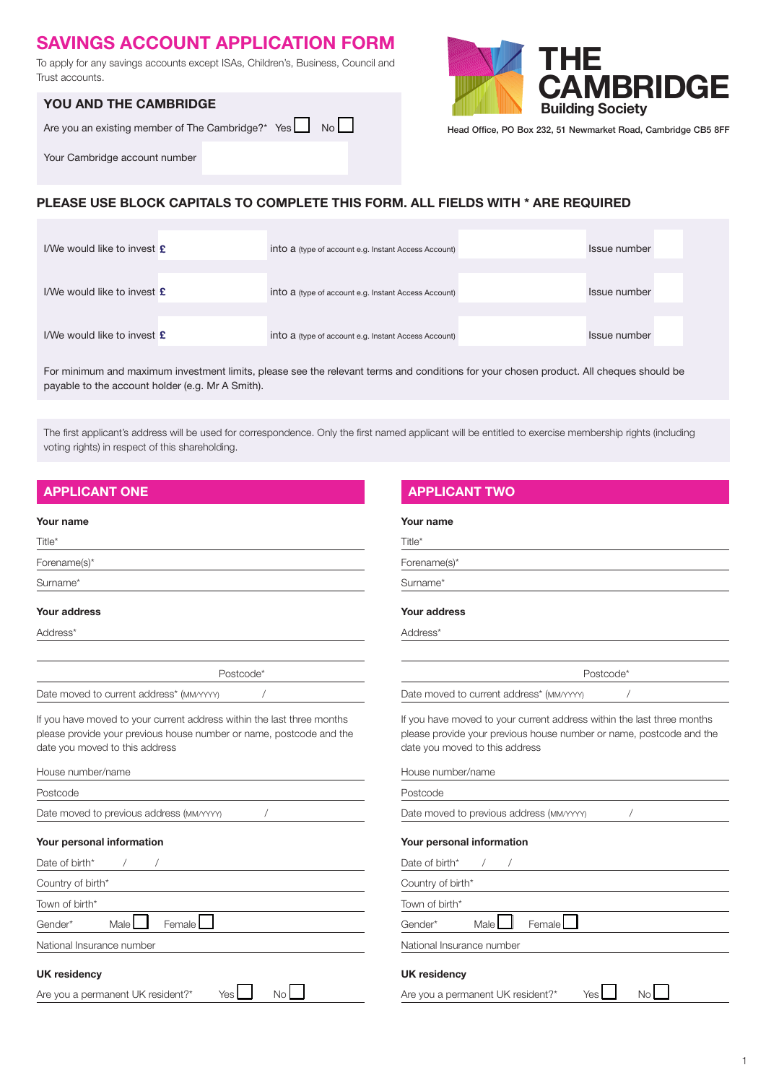# SAVINGS ACCOUNT APPLICATION FORM

To apply for any savings accounts except ISAs, Children's, Business, Council and Trust accounts.

### YOU AND THE CAMBRIDGE

| Are you an existing member of The Cambridge?* Yes No |  |
|------------------------------------------------------|--|
|                                                      |  |

Your Cambridge account number



Head Office, PO Box 232, 51 Newmarket Road, Cambridge CB5 8FF

# PLEASE USE BLOCK CAPITALS TO COMPLETE THIS FORM. ALL FIELDS WITH \* ARE REQUIRED

| I/We would like to invest $\boldsymbol{\mathsf{\Sigma}}$  | into a (type of account e.g. Instant Access Account) | Issue number |
|-----------------------------------------------------------|------------------------------------------------------|--------------|
| I/We would like to invest $\boldsymbol{\mathsf{\pounds}}$ | into a (type of account e.g. Instant Access Account) | Issue number |
| I/We would like to invest $\boldsymbol{\mathsf{\Sigma}}$  | into a (type of account e.g. Instant Access Account) | Issue number |

For minimum and maximum investment limits, please see the relevant terms and conditions for your chosen product. All cheques should be payable to the account holder (e.g. Mr A Smith).

The first applicant's address will be used for correspondence. Only the first named applicant will be entitled to exercise membership rights (including voting rights) in respect of this shareholding.

### Your name

| Title*       |  |  |
|--------------|--|--|
| Forename(s)* |  |  |
| Surname*     |  |  |

### Your address

Address\*

Postcode\* Date moved to current address\* (MM/YYYY) /

If you have moved to your current address within the last three months please provide your previous house number or name, postcode and the date you moved to this address

| House number/name                        |
|------------------------------------------|
| Postcode                                 |
| Date moved to previous address (MM/YYY)  |
| Your personal information                |
| Date of birth*                           |
| Country of birth*                        |
| Town of birth*                           |
| Male<br>Female<br>Gender*                |
| National Insurance number                |
| <b>UK residency</b>                      |
| Are you a permanent UK resident?*<br>Yes |

### APPLICANT ONE APPLICANT ONE APPLICANT TWO

### Your name

Forename(s)\*

Surname\*

### Your address

Address\*

Date moved to current address\* (MM/YYYY) /

If you have moved to your current address within the last three months please provide your previous house number or name, postcode and the date you moved to this address

Postcode\*

| Date moved to previous address (MM/YYYY)      |  |
|-----------------------------------------------|--|
| Your personal information                     |  |
| Date of birth <sup>*</sup> /                  |  |
| Country of birth*                             |  |
| Town of birth*                                |  |
| Female <sup>I</sup><br><b>Male</b><br>Gender* |  |
| National Insurance number                     |  |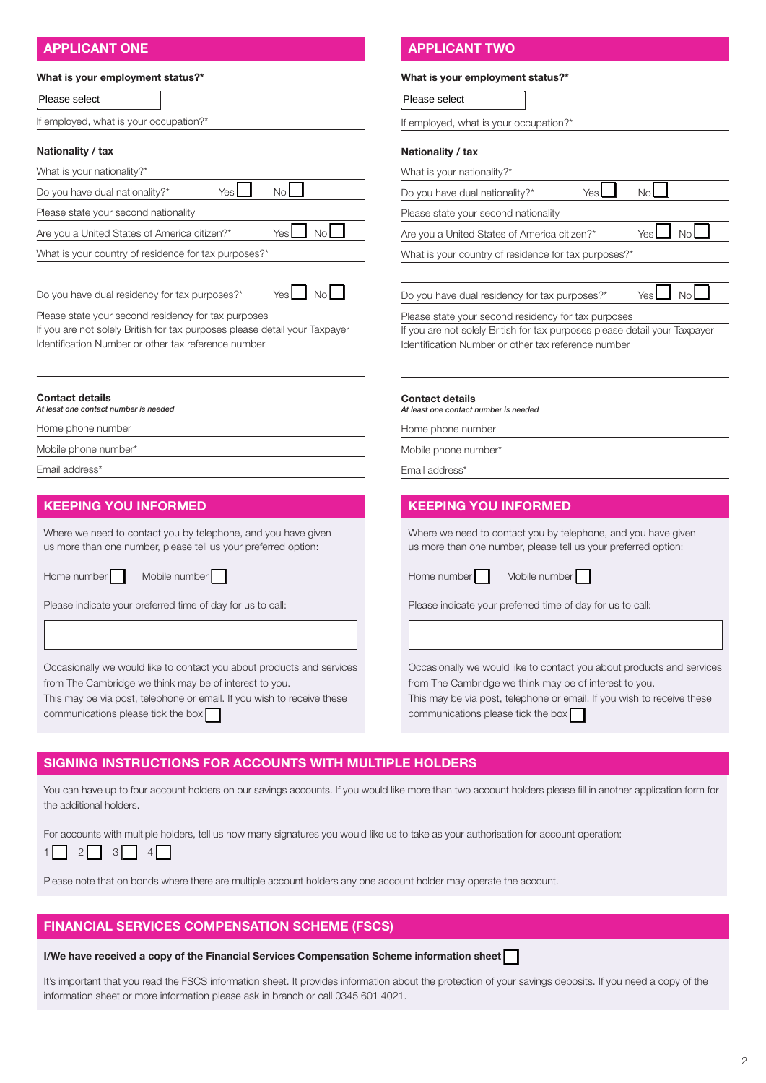# APPLICANT ONE APPLICANT ONE APPLICANT TWO

### What is your employment status?\*

|                                                                                                                                                                           | Please select                                                                                             |
|---------------------------------------------------------------------------------------------------------------------------------------------------------------------------|-----------------------------------------------------------------------------------------------------------|
| If employed, what is your occupation?*                                                                                                                                    | If employed, what is your occupation?                                                                     |
| Nationality / tax                                                                                                                                                         | Nationality / tax                                                                                         |
| What is your nationality?*                                                                                                                                                | What is your nationality?*                                                                                |
| No<br><b>Yes</b><br>Do you have dual nationality?*                                                                                                                        | Do you have dual nationality?*                                                                            |
| Please state your second nationality                                                                                                                                      | Please state your second nationality                                                                      |
| No <sub>l</sub><br>Yes<br>Are you a United States of America citizen?*                                                                                                    | Are you a United States of America citi                                                                   |
| What is your country of residence for tax purposes?*                                                                                                                      | What is your country of residence for t                                                                   |
| No<br>Do you have dual residency for tax purposes?*<br>Yes                                                                                                                | Do you have dual residency for tax pur                                                                    |
| Please state your second residency for tax purposes                                                                                                                       | Please state your second residency for                                                                    |
| If you are not solely British for tax purposes please detail your Taxpayer<br>Identification Number or other tax reference number                                         | If you are not solely British for tax purp<br>Identification Number or other tax refer                    |
| <b>Contact details</b><br>At least one contact number is needed                                                                                                           | <b>Contact details</b><br>At least one contact number is needed                                           |
|                                                                                                                                                                           |                                                                                                           |
| Home phone number                                                                                                                                                         | Home phone number                                                                                         |
|                                                                                                                                                                           | Mobile phone number*                                                                                      |
|                                                                                                                                                                           | Email address*                                                                                            |
|                                                                                                                                                                           |                                                                                                           |
| <b>KEEPING YOU INFORMED</b>                                                                                                                                               |                                                                                                           |
| Mobile phone number*<br>Email address*<br>Where we need to contact you by telephone, and you have given<br>us more than one number, please tell us your preferred option: | <b>KEEPING YOU INFORMED</b><br>Where we need to contact you by tel<br>us more than one number, please tel |
| Mobile number<br>Home number                                                                                                                                              | Home number<br>Mobile numbe                                                                               |

Occasionally we would like to contact you about products and services from The Cambridge we think may be of interest to you.

This may be via post, telephone or email. If you wish to receive these communications please tick the box

### What is your employment status?\*

| Please select                                                              |     |       |
|----------------------------------------------------------------------------|-----|-------|
| If employed, what is your occupation?*                                     |     |       |
|                                                                            |     |       |
| Nationality / tax                                                          |     |       |
| What is your nationality?*                                                 |     |       |
| Do you have dual nationality?*                                             | Yes | Nο    |
| Please state your second nationality                                       |     |       |
| Are you a United States of America citizen?*                               |     | Yes   |
| What is your country of residence for tax purposes?*                       |     |       |
|                                                                            |     |       |
| Do you have dual residency for tax purposes?*                              |     | Yes I |
| Please state your second residency for tax purposes                        |     |       |
| If you are not solely British for tax purposes please detail your Taxpayer |     |       |
| Identification Number or other tax reference number                        |     |       |

by telephone, and you have given se tell us your preferred option:

umber **Mobile 1** 

me of day for us to call:

Occasionally we would like to contact you about products and services from The Cambridge we think may be of interest to you.

This may be via post, telephone or email. If you wish to receive these communications please tick the box

### SIGNING INSTRUCTIONS FOR ACCOUNTS WITH MULTIPLE HOLDERS

You can have up to four account holders on our savings accounts. If you would like more than two account holders please fill in another application form for the additional holders.

For accounts with multiple holders, tell us how many signatures you would like us to take as your authorisation for account operation:

 $1 \cap 2 \cap 3 \cap 4 \cap$ 

Please note that on bonds where there are multiple account holders any one account holder may operate the account.

### FINANCIAL SERVICES COMPENSATION SCHEME (FSCS)

### I/We have received a copy of the Financial Services Compensation Scheme information sheet

It's important that you read the FSCS information sheet. It provides information about the protection of your savings deposits. If you need a copy of the information sheet or more information please ask in branch or call 0345 601 4021.